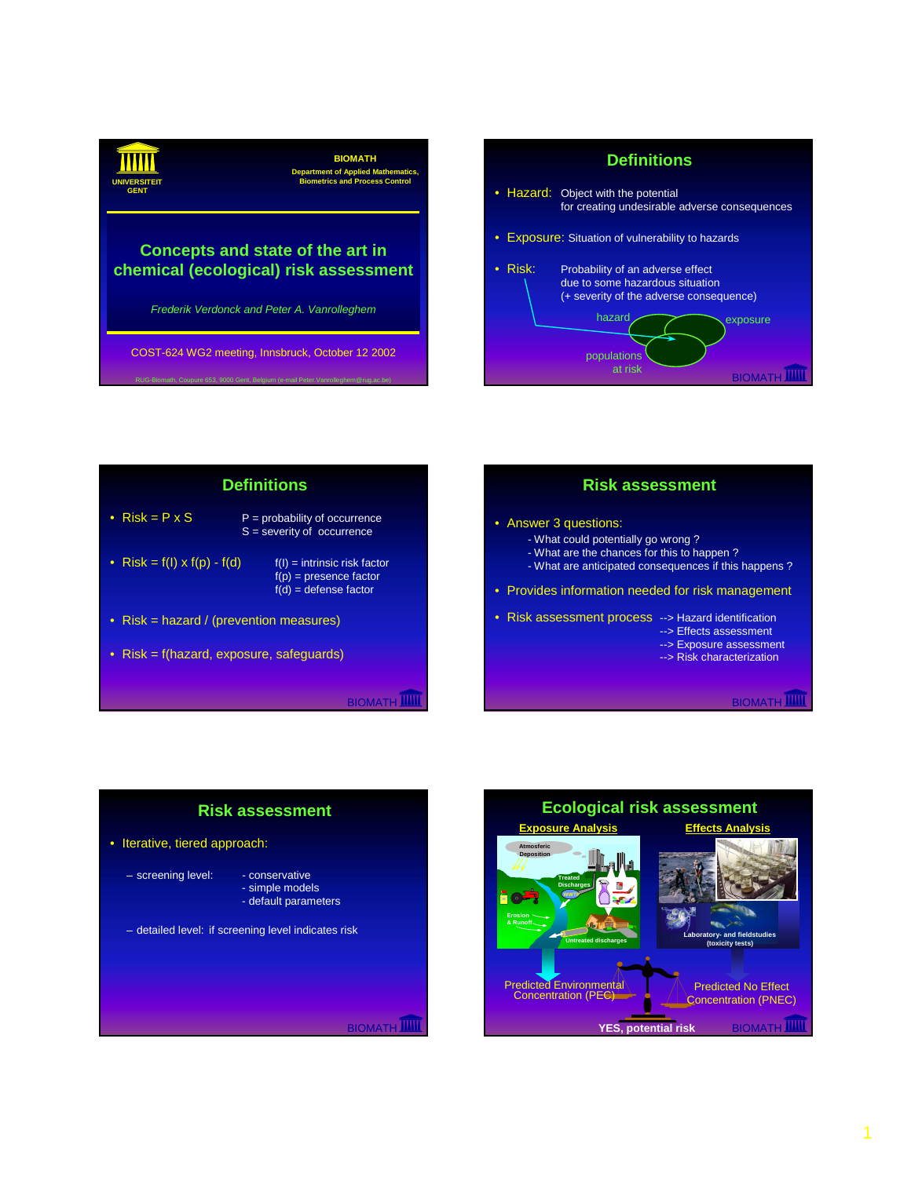**BIOMATH Department of Applied Mathematics, UNIVERSITEIT Biometrics and Process Control GENT** *Frederik Verdonck and Peter A. Vanrolleghem* **Concepts and state of the art in chemical (ecological) risk assessment** COST-624 WG2 meeting, Innsbruck, October 12 2002









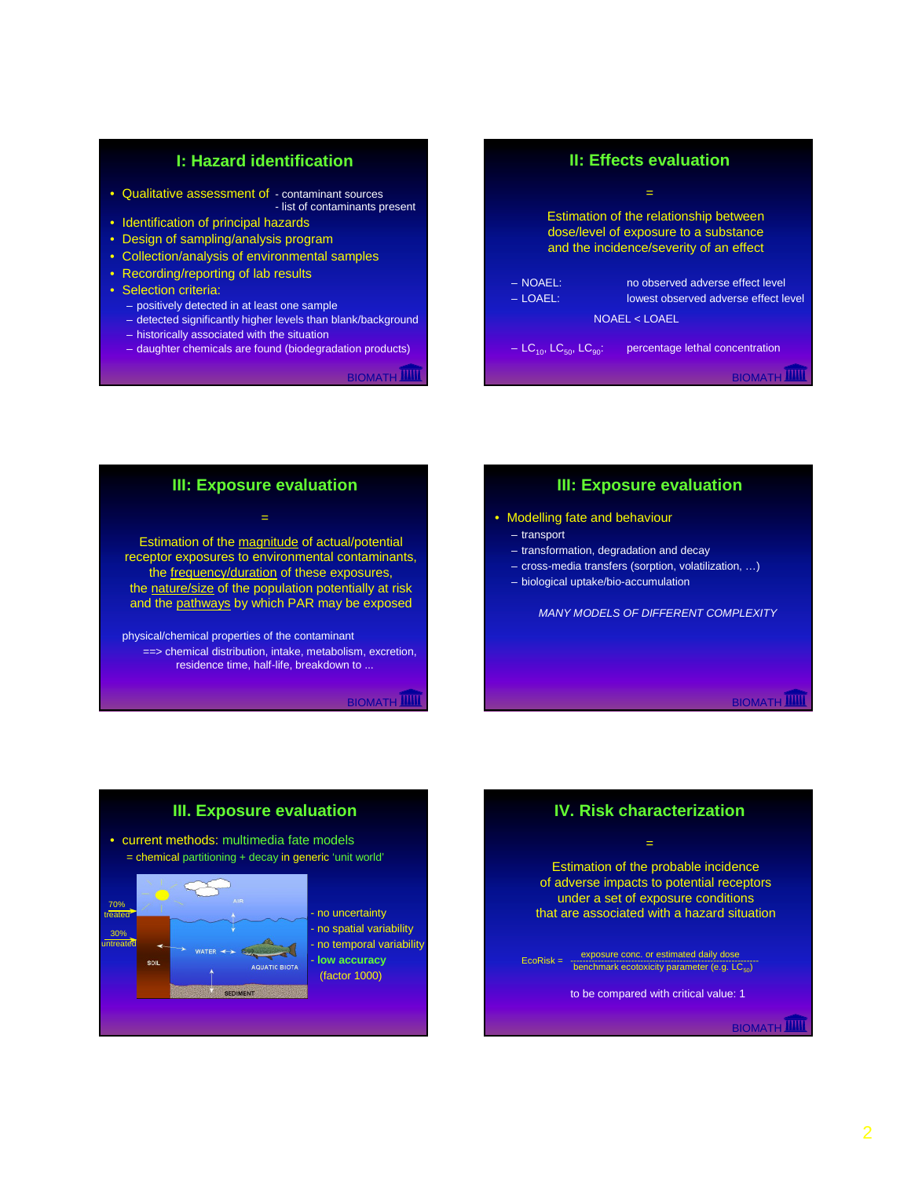## **I: Hazard identification**

- Qualitative assessment of contaminant sources - list of contaminants present
- Identification of principal hazards
- Design of sampling/analysis program
- Collection/analysis of environmental samples
- Recording/reporting of lab results
- Selection criteria:
	- positively detected in at least one sample
	- detected significantly higher levels than blank/background
	- historically associated with the situation
	- daughter chemicals are found (biodegradation products)

**BIOMATH IIIII** 

# **BIOMATH II: Effects evaluation** = Estimation of the relationship between dose/level of exposure to a substance and the incidence/severity of an effect – NOAEL: no observed adverse effect level – LOAEL: lowest observed adverse effect level NOAEL < LOAEL  $- LC_{10}$ , LC<sub>50</sub>, LC<sub>90</sub>: percentage lethal concentration

# **III: Exposure evaluation**

=

Estimation of the magnitude of actual/potential receptor exposures to environmental contaminants, the frequency/duration of these exposures, the nature/size of the population potentially at risk and the pathways by which PAR may be exposed

physical/chemical properties of the contaminant ==> chemical distribution, intake, metabolism, excretion, residence time, half-life, breakdown to ...

**BIOMATH** 

# **III: Exposure evaluation**

- Modelling fate and behaviour
	- transport
	- transformation, degradation and decay
	- cross-media transfers (sorption, volatilization, …)
	- biological uptake/bio-accumulation

*MANY MODELS OF DIFFERENT COMPLEXITY*

**BIOMATH** 

## **III. Exposure evaluation**

• current methods: multimedia fate models = chemical partitioning + decay in generic 'unit world'



- no uncertainty - no spatial variability no temporal variability low accuracy (factor 1000)

# **IV. Risk characterization**

=

Estimation of the probable incidence of adverse impacts to potential receptors under a set of exposure conditions that are associated with a hazard situation

 $EcoRisk = \frac{exposure conc. or estimated daily dose}{benchmark ecotoxicity parameter (e.g. LC<sub>50</sub>)}$ 

to be compared with critical value: 1

BIOMATH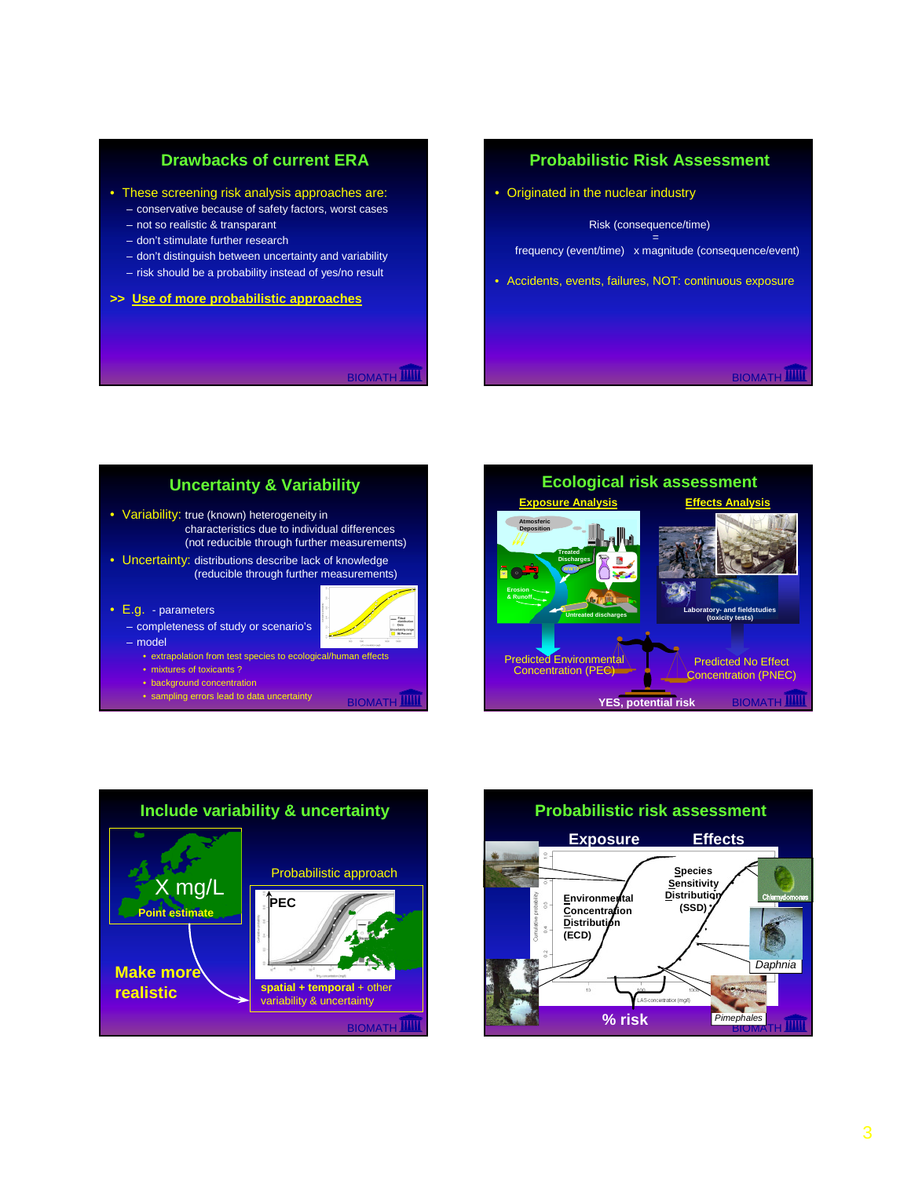# **Drawbacks of current ERA**

- These screening risk analysis approaches are:
	- conservative because of safety factors, worst cases
	- not so realistic & transparant
	- don't stimulate further research
	- don't distinguish between uncertainty and variability
	- risk should be a probability instead of yes/no result
- **>> Use of more probabilistic approaches**

**BIOMATH** 

## **Probabilistic Risk Assessment**

• Originated in the nuclear industry

Risk (consequence/time)

= frequency (event/time) x magnitude (consequence/event)

• Accidents, events, failures, NOT: continuous exposure

**BIOMATH** 



- extrapolation from test species to ecological/human effects
- mixtures of toxicants ?
- background concentration
- sampling errors lead to data uncertainty **ELOMATH**





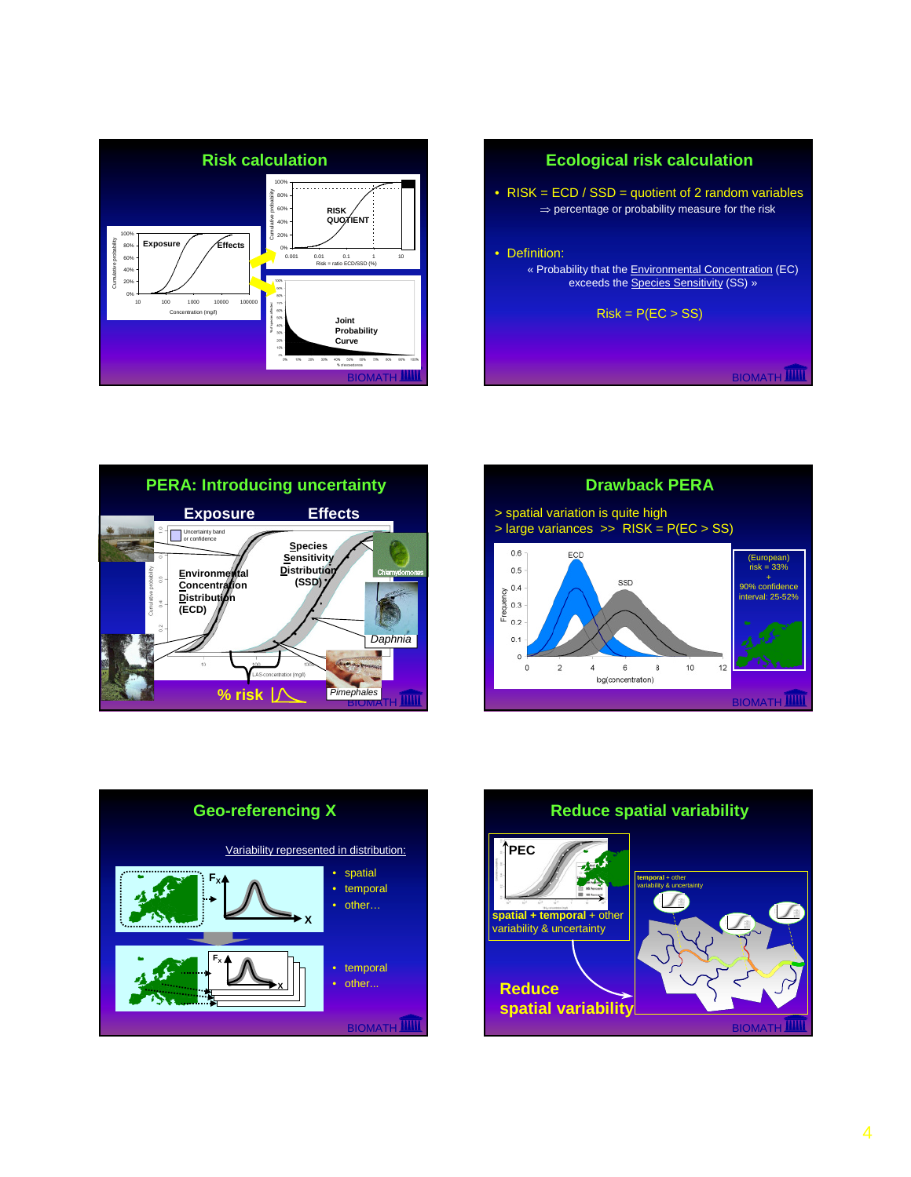

# BIOMATH<sup>III</sup> **Ecological risk calculation** • RISK = ECD / SSD = quotient of 2 random variables ⇒ percentage or probability measure for the risk • Definition: « Probability that the Environmental Concentration (EC) exceeds the **Species Sensitivity (SS)** »  $Risk = P(EC > SS)$